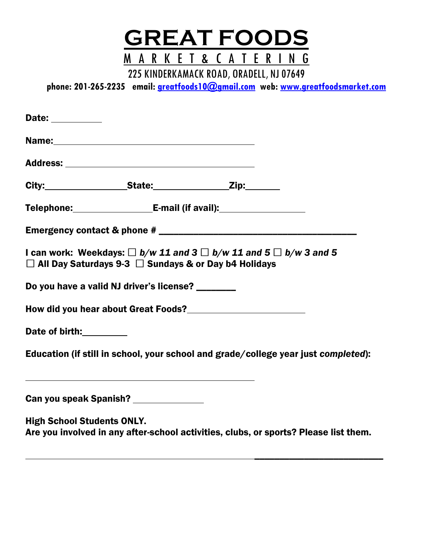

225 KINDERKAMACK ROAD, ORADELL, NJ 07649

**phone: 201-265-2235 email: [greatfoods10@gmail.com](mailto:greatfoods10@gmail.com) web: [www.greatfoodsmarket.com](http://www.greatfoodsmarket.com/)**

| Date: __________                  |                                                                  |                                                                                    |  |  |  |  |
|-----------------------------------|------------------------------------------------------------------|------------------------------------------------------------------------------------|--|--|--|--|
|                                   |                                                                  |                                                                                    |  |  |  |  |
|                                   |                                                                  |                                                                                    |  |  |  |  |
|                                   |                                                                  |                                                                                    |  |  |  |  |
|                                   |                                                                  |                                                                                    |  |  |  |  |
|                                   |                                                                  |                                                                                    |  |  |  |  |
|                                   | $\Box$ All Day Saturdays 9-3 $\Box$ Sundays & or Day b4 Holidays | I can work: Weekdays: $\Box$ b/w 11 and 3 $\Box$ b/w 11 and 5 $\Box$ b/w 3 and 5   |  |  |  |  |
|                                   | Do you have a valid NJ driver's license? _______                 |                                                                                    |  |  |  |  |
|                                   |                                                                  | How did you hear about Great Foods?<br><u> </u>                                    |  |  |  |  |
| Date of birth: <u>[11]</u>        |                                                                  |                                                                                    |  |  |  |  |
|                                   |                                                                  | Education (if still in school, your school and grade/college year just completed): |  |  |  |  |
|                                   | Can you speak Spanish? ______________                            |                                                                                    |  |  |  |  |
| <b>High School Students ONLY.</b> |                                                                  |                                                                                    |  |  |  |  |

Are you involved in any after-school activities, clubs, or sports? Please list them.

 $\overline{\phantom{a}}$  , where the contract of the contract of the contract of the contract of the contract of the contract of the contract of the contract of the contract of the contract of the contract of the contract of the contr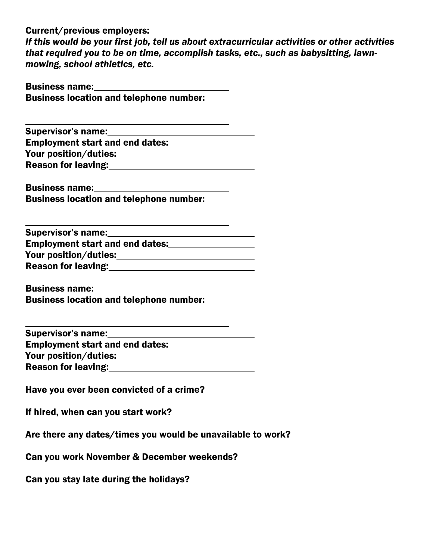Current/previous employers:

*If this would be your first job, tell us about extracurricular activities or other activities that required you to be on time, accomplish tasks, etc., such as babysitting, lawnmowing, school athletics, etc.*

| <b>Business name:</b> |                                                |
|-----------------------|------------------------------------------------|
|                       | <b>Business location and telephone number:</b> |

| <b>Supervisor's name:</b>              |  |
|----------------------------------------|--|
| <b>Employment start and end dates:</b> |  |
| Your position/duties:                  |  |
| <b>Reason for leaving:</b>             |  |

Business name: Business location and telephone number:

Supervisor's name:<br>
<u>Supervisor's name:</u> Employment start and end dates: **Employment start and end dates:** Your position/duties: Reason for leaving:<br>
<u>Reason for leaving:</u>

Business name: Business location and telephone number:

| <b>Supervisor's name:</b>              |  |
|----------------------------------------|--|
| <b>Employment start and end dates:</b> |  |
| Your position/duties:                  |  |
| <b>Reason for leaving:</b>             |  |

Have you ever been convicted of a crime?

If hired, when can you start work?

Are there any dates/times you would be unavailable to work?

Can you work November & December weekends?

Can you stay late during the holidays?